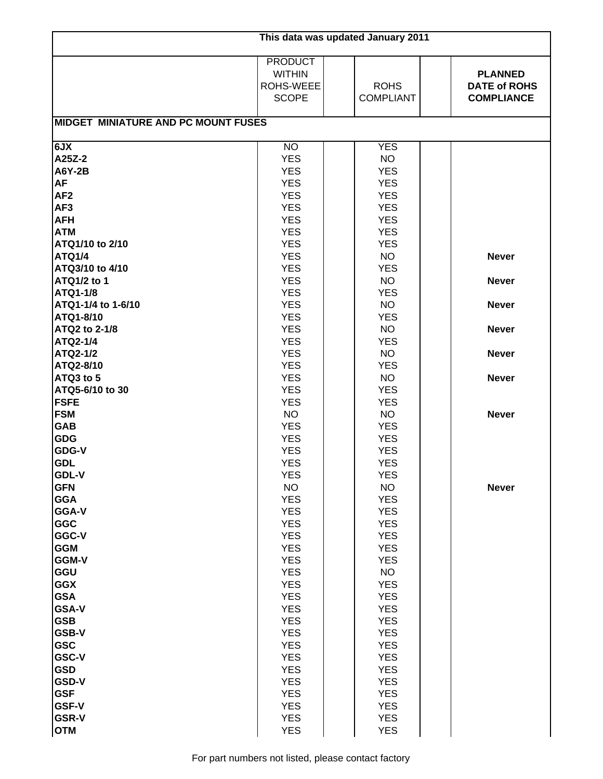| This data was updated January 2011                                                                                                                                                                                                                                                                                                                                                                                                                                                                                                                                                                                                                                                     |                                                                                                                                                                                                                                                                                                                                                                                                                                                                                                                                                                                                                                                                             |                                                                                                                                                                                                                                                                                                                                                                                                                                                                                                                                                                                                                                                                      |                                                                                                                              |  |  |  |
|----------------------------------------------------------------------------------------------------------------------------------------------------------------------------------------------------------------------------------------------------------------------------------------------------------------------------------------------------------------------------------------------------------------------------------------------------------------------------------------------------------------------------------------------------------------------------------------------------------------------------------------------------------------------------------------|-----------------------------------------------------------------------------------------------------------------------------------------------------------------------------------------------------------------------------------------------------------------------------------------------------------------------------------------------------------------------------------------------------------------------------------------------------------------------------------------------------------------------------------------------------------------------------------------------------------------------------------------------------------------------------|----------------------------------------------------------------------------------------------------------------------------------------------------------------------------------------------------------------------------------------------------------------------------------------------------------------------------------------------------------------------------------------------------------------------------------------------------------------------------------------------------------------------------------------------------------------------------------------------------------------------------------------------------------------------|------------------------------------------------------------------------------------------------------------------------------|--|--|--|
|                                                                                                                                                                                                                                                                                                                                                                                                                                                                                                                                                                                                                                                                                        | <b>PRODUCT</b><br><b>WITHIN</b><br>ROHS-WEEE<br><b>SCOPE</b>                                                                                                                                                                                                                                                                                                                                                                                                                                                                                                                                                                                                                | <b>ROHS</b><br><b>COMPLIANT</b>                                                                                                                                                                                                                                                                                                                                                                                                                                                                                                                                                                                                                                      | <b>PLANNED</b><br><b>DATE of ROHS</b><br><b>COMPLIANCE</b>                                                                   |  |  |  |
| <b>MIDGET MINIATURE AND PC MOUNT FUSES</b>                                                                                                                                                                                                                                                                                                                                                                                                                                                                                                                                                                                                                                             |                                                                                                                                                                                                                                                                                                                                                                                                                                                                                                                                                                                                                                                                             |                                                                                                                                                                                                                                                                                                                                                                                                                                                                                                                                                                                                                                                                      |                                                                                                                              |  |  |  |
| 6JX<br>A25Z-2<br><b>A6Y-2B</b><br><b>AF</b><br>AF <sub>2</sub><br>AF <sub>3</sub><br><b>AFH</b><br><b>ATM</b><br>ATQ1/10 to 2/10<br><b>ATQ1/4</b><br>ATQ3/10 to 4/10<br>ATQ1/2 to 1<br>ATQ1-1/8<br>ATQ1-1/4 to 1-6/10<br>ATQ1-8/10<br>ATQ2 to 2-1/8<br>ATQ2-1/4<br>ATQ2-1/2<br>ATQ2-8/10<br>ATQ3 to 5<br>ATQ5-6/10 to 30<br><b>FSFE</b><br><b>FSM</b><br><b>GAB</b><br><b>GDG</b><br>GDG-V<br><b>GDL</b><br><b>GDL-V</b><br><b>GFN</b><br><b>GGA</b><br>GGA-V<br>GGC<br>GGC-V<br><b>GGM</b><br><b>GGM-V</b><br>GGU<br><b>GGX</b><br><b>GSA</b><br><b>GSA-V</b><br><b>GSB</b><br><b>GSB-V</b><br><b>GSC</b><br><b>GSC-V</b><br><b>GSD</b><br><b>GSD-V</b><br><b>GSF</b><br><b>GSF-V</b> | <b>NO</b><br><b>YES</b><br><b>YES</b><br><b>YES</b><br><b>YES</b><br><b>YES</b><br><b>YES</b><br><b>YES</b><br><b>YES</b><br><b>YES</b><br><b>YES</b><br><b>YES</b><br><b>YES</b><br><b>YES</b><br><b>YES</b><br><b>YES</b><br><b>YES</b><br><b>YES</b><br><b>YES</b><br><b>YES</b><br><b>YES</b><br><b>YES</b><br><b>NO</b><br><b>YES</b><br><b>YES</b><br><b>YES</b><br><b>YES</b><br><b>YES</b><br><b>NO</b><br><b>YES</b><br><b>YES</b><br><b>YES</b><br><b>YES</b><br><b>YES</b><br><b>YES</b><br><b>YES</b><br><b>YES</b><br><b>YES</b><br><b>YES</b><br><b>YES</b><br><b>YES</b><br><b>YES</b><br><b>YES</b><br><b>YES</b><br><b>YES</b><br><b>YES</b><br><b>YES</b> | <b>YES</b><br><b>NO</b><br><b>YES</b><br><b>YES</b><br><b>YES</b><br><b>YES</b><br><b>YES</b><br><b>YES</b><br><b>YES</b><br><b>NO</b><br><b>YES</b><br><b>NO</b><br><b>YES</b><br><b>NO</b><br><b>YES</b><br><b>NO</b><br><b>YES</b><br><b>NO</b><br><b>YES</b><br><b>NO</b><br><b>YES</b><br><b>YES</b><br><b>NO</b><br><b>YES</b><br><b>YES</b><br><b>YES</b><br><b>YES</b><br><b>YES</b><br><b>NO</b><br><b>YES</b><br><b>YES</b><br><b>YES</b><br><b>YES</b><br><b>YES</b><br><b>YES</b><br><b>NO</b><br><b>YES</b><br><b>YES</b><br><b>YES</b><br><b>YES</b><br><b>YES</b><br><b>YES</b><br><b>YES</b><br><b>YES</b><br><b>YES</b><br><b>YES</b><br><b>YES</b> | <b>Never</b><br><b>Never</b><br><b>Never</b><br><b>Never</b><br><b>Never</b><br><b>Never</b><br><b>Never</b><br><b>Never</b> |  |  |  |
| <b>GSR-V</b><br><b>OTM</b>                                                                                                                                                                                                                                                                                                                                                                                                                                                                                                                                                                                                                                                             | <b>YES</b><br><b>YES</b>                                                                                                                                                                                                                                                                                                                                                                                                                                                                                                                                                                                                                                                    | <b>YES</b><br><b>YES</b>                                                                                                                                                                                                                                                                                                                                                                                                                                                                                                                                                                                                                                             |                                                                                                                              |  |  |  |